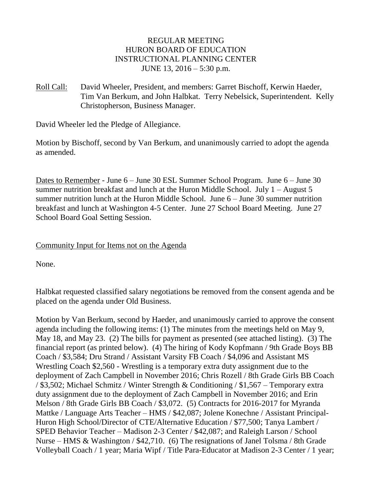## REGULAR MEETING HURON BOARD OF EDUCATION INSTRUCTIONAL PLANNING CENTER JUNE 13, 2016 – 5:30 p.m.

Roll Call: David Wheeler, President, and members: Garret Bischoff, Kerwin Haeder, Tim Van Berkum, and John Halbkat. Terry Nebelsick, Superintendent. Kelly Christopherson, Business Manager.

David Wheeler led the Pledge of Allegiance.

Motion by Bischoff, second by Van Berkum, and unanimously carried to adopt the agenda as amended.

Dates to Remember - June 6 – June 30 ESL Summer School Program. June 6 – June 30 summer nutrition breakfast and lunch at the Huron Middle School. July  $1 -$ August 5 summer nutrition lunch at the Huron Middle School. June 6 – June 30 summer nutrition breakfast and lunch at Washington 4-5 Center. June 27 School Board Meeting. June 27 School Board Goal Setting Session.

### Community Input for Items not on the Agenda

None.

Halbkat requested classified salary negotiations be removed from the consent agenda and be placed on the agenda under Old Business.

Motion by Van Berkum, second by Haeder, and unanimously carried to approve the consent agenda including the following items: (1) The minutes from the meetings held on May 9, May 18, and May 23. (2) The bills for payment as presented (see attached listing). (3) The financial report (as printed below). (4) The hiring of Kody Kopfmann / 9th Grade Boys BB Coach / \$3,584; Dru Strand / Assistant Varsity FB Coach / \$4,096 and Assistant MS Wrestling Coach \$2,560 - Wrestling is a temporary extra duty assignment due to the deployment of Zach Campbell in November 2016; Chris Rozell / 8th Grade Girls BB Coach / \$3,502; Michael Schmitz / Winter Strength & Conditioning / \$1,567 – Temporary extra duty assignment due to the deployment of Zach Campbell in November 2016; and Erin Melson / 8th Grade Girls BB Coach / \$3,072. (5) Contracts for 2016-2017 for Myranda Mattke / Language Arts Teacher – HMS / \$42,087; Jolene Konechne / Assistant Principal-Huron High School/Director of CTE/Alternative Education / \$77,500; Tanya Lambert / SPED Behavior Teacher – Madison 2-3 Center / \$42,087; and Raleigh Larson / School Nurse – HMS & Washington / \$42,710. (6) The resignations of Janel Tolsma / 8th Grade Volleyball Coach / 1 year; Maria Wipf / Title Para-Educator at Madison 2-3 Center / 1 year;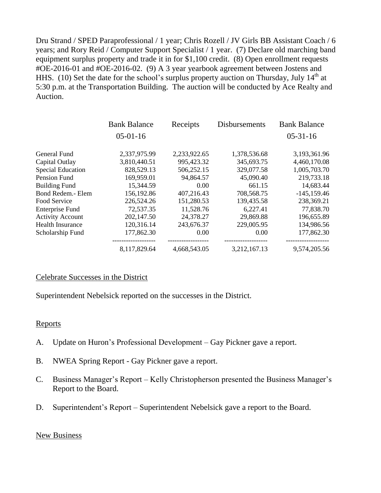Dru Strand / SPED Paraprofessional / 1 year; Chris Rozell / JV Girls BB Assistant Coach / 6 years; and Rory Reid / Computer Support Specialist / 1 year. (7) Declare old marching band equipment surplus property and trade it in for \$1,100 credit. (8) Open enrollment requests #OE-2016-01 and #OE-2016-02. (9) A 3 year yearbook agreement between Jostens and HHS. (10) Set the date for the school's surplus property auction on Thursday, July  $14<sup>th</sup>$  at 5:30 p.m. at the Transportation Building. The auction will be conducted by Ace Realty and Auction.

|                          | <b>Bank Balance</b> | Receipts     | <b>Disbursements</b> | <b>Bank Balance</b> |
|--------------------------|---------------------|--------------|----------------------|---------------------|
|                          | $05-01-16$          |              |                      | $05-31-16$          |
| <b>General Fund</b>      | 2,337,975.99        | 2,233,922.65 | 1,378,536.68         | 3,193,361.96        |
| Capital Outlay           | 3,810,440.51        | 995,423.32   | 345,693.75           | 4,460,170.08        |
| <b>Special Education</b> | 828,529.13          | 506,252.15   | 329,077.58           | 1,005,703.70        |
| Pension Fund             | 169,959.01          | 94,864.57    | 45,090.40            | 219,733.18          |
| <b>Building Fund</b>     | 15,344.59           | 0.00         | 661.15               | 14,683.44           |
| Bond Redem.- Elem        | 156,192.86          | 407,216.43   | 708,568.75           | $-145, 159.46$      |
| Food Service             | 226,524.26          | 151,280.53   | 139,435.58           | 238,369.21          |
| <b>Enterprise Fund</b>   | 72,537.35           | 11,528.76    | 6,227.41             | 77,838.70           |
| <b>Activity Account</b>  | 202,147.50          | 24,378.27    | 29,869.88            | 196,655.89          |
| <b>Health Insurance</b>  | 120,316.14          | 243,676.37   | 229,005.95           | 134,986.56          |
| Scholarship Fund         | 177,862.30          | 0.00         | 0.00                 | 177,862.30          |
|                          | 8,117,829.64        | 4,668,543.05 | 3,212,167.13         | 9,574,205.56        |

#### Celebrate Successes in the District

Superintendent Nebelsick reported on the successes in the District.

#### **Reports**

- A. Update on Huron's Professional Development Gay Pickner gave a report.
- B. NWEA Spring Report Gay Pickner gave a report.
- C. Business Manager's Report Kelly Christopherson presented the Business Manager's Report to the Board.
- D. Superintendent's Report Superintendent Nebelsick gave a report to the Board.

#### New Business